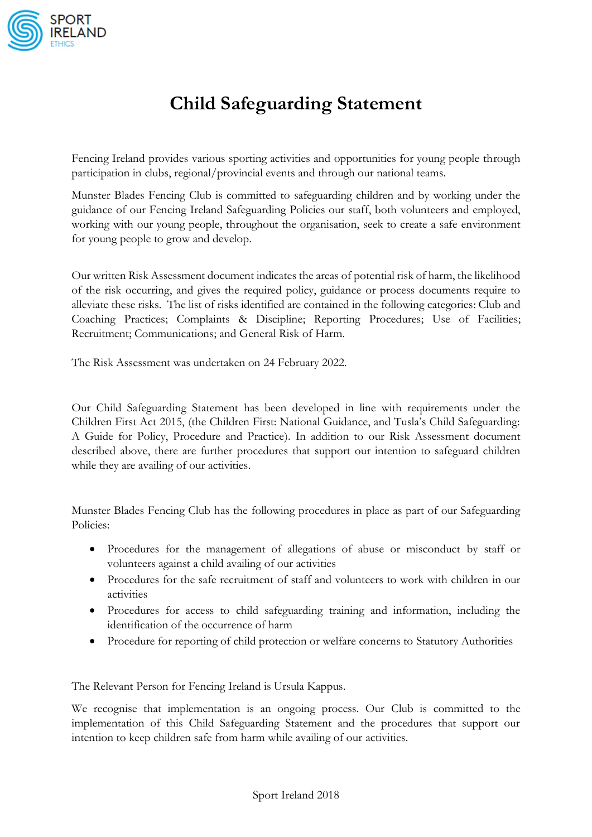

## **Child Safeguarding Statement**

Fencing Ireland provides various sporting activities and opportunities for young people through participation in clubs, regional/provincial events and through our national teams.

Munster Blades Fencing Club is committed to safeguarding children and by working under the guidance of our Fencing Ireland Safeguarding Policies our staff, both volunteers and employed, working with our young people, throughout the organisation, seek to create a safe environment for young people to grow and develop.

Our written Risk Assessment document indicates the areas of potential risk of harm, the likelihood of the risk occurring, and gives the required policy, guidance or process documents require to alleviate these risks.The list of risks identified are contained in the following categories: Club and Coaching Practices; Complaints & Discipline; Reporting Procedures; Use of Facilities; Recruitment; Communications; and General Risk of Harm.

The Risk Assessment was undertaken on 24 February 2022.

Our Child Safeguarding Statement has been developed in line with requirements under the Children First Act 2015, (the Children First: National Guidance, and Tusla's Child Safeguarding: A Guide for Policy, Procedure and Practice). In addition to our Risk Assessment document described above, there are further procedures that support our intention to safeguard children while they are availing of our activities.

Munster Blades Fencing Club has the following procedures in place as part of our Safeguarding Policies:

- Procedures for the management of allegations of abuse or misconduct by staff or volunteers against a child availing of our activities
- Procedures for the safe recruitment of staff and volunteers to work with children in our activities
- Procedures for access to child safeguarding training and information, including the identification of the occurrence of harm
- Procedure for reporting of child protection or welfare concerns to Statutory Authorities

The Relevant Person for Fencing Ireland is Ursula Kappus.

We recognise that implementation is an ongoing process. Our Club is committed to the implementation of this Child Safeguarding Statement and the procedures that support our intention to keep children safe from harm while availing of our activities.